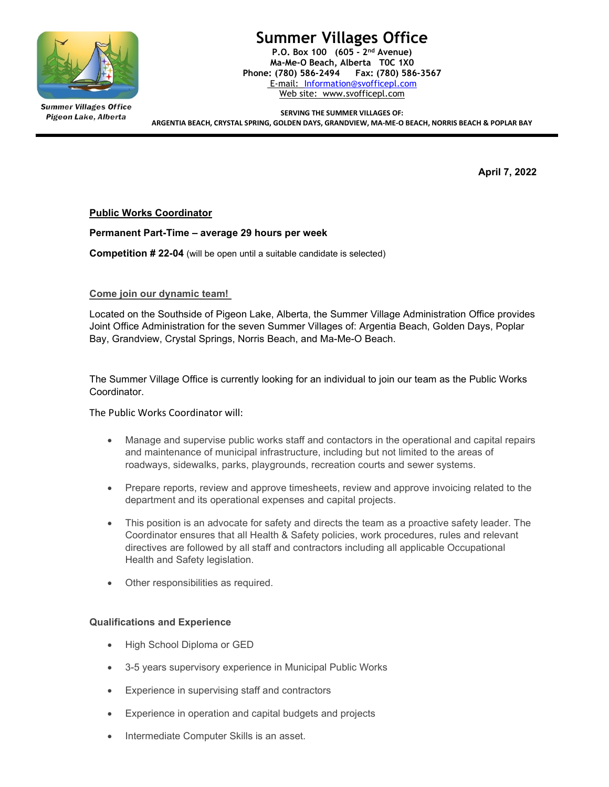

**Summer Villages Office** Pigeon Lake, Alberta

# Summer Villages Office

P.O. Box 100 (605 - 2nd Avenue) Ma-Me-O Beach, Alberta T0C 1X0 Phone: (780) 586-2494 Fax: (780) 586-3567 E-mail: Information@svofficepl.com Web site: www.svofficepl.com

SERVING THE SUMMER VILLAGES OF: ARGENTIA BEACH, CRYSTAL SPRING, GOLDEN DAYS, GRANDVIEW, MA-ME-O BEACH, NORRIS BEACH & POPLAR BAY

April 7, 2022

Public Works Coordinator

## Permanent Part-Time – average 29 hours per week

**Competition # 22-04** (will be open until a suitable candidate is selected)

### Come join our dynamic team!

Located on the Southside of Pigeon Lake, Alberta, the Summer Village Administration Office provides Joint Office Administration for the seven Summer Villages of: Argentia Beach, Golden Days, Poplar Bay, Grandview, Crystal Springs, Norris Beach, and Ma-Me-O Beach.

The Summer Village Office is currently looking for an individual to join our team as the Public Works Coordinator.

The Public Works Coordinator will:

- Manage and supervise public works staff and contactors in the operational and capital repairs and maintenance of municipal infrastructure, including but not limited to the areas of roadways, sidewalks, parks, playgrounds, recreation courts and sewer systems.
- Prepare reports, review and approve timesheets, review and approve invoicing related to the department and its operational expenses and capital projects.
- This position is an advocate for safety and directs the team as a proactive safety leader. The Coordinator ensures that all Health & Safety policies, work procedures, rules and relevant directives are followed by all staff and contractors including all applicable Occupational Health and Safety legislation.
- Other responsibilities as required.

### Qualifications and Experience

- High School Diploma or GED
- 3-5 years supervisory experience in Municipal Public Works
- Experience in supervising staff and contractors
- Experience in operation and capital budgets and projects
- Intermediate Computer Skills is an asset.